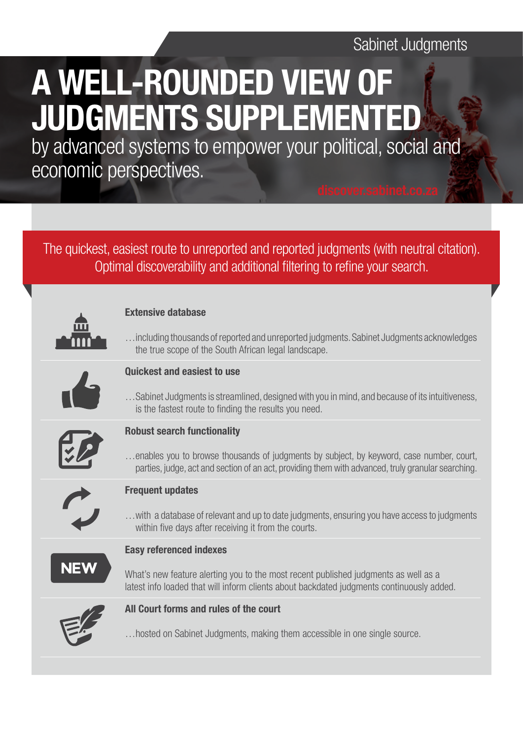## Sabinet Judgments

# A WELL-ROUNDED VIEW OF JUDGMENTS SUPPLEMENTED

by advanced systems to empower your political, social and economic perspectives.

### The quickest, easiest route to unreported and reported judgments (with neutral citation). Optimal discoverability and additional filtering to refine your search.

#### Extensive database

…including thousands of reported and unreported judgments. Sabinet Judgments acknowledges the true scope of the South African legal landscape.



#### Quickest and easiest to use

…Sabinet Judgments is streamlined, designed with you in mind, and because of its intuitiveness, is the fastest route to finding the results you need.



#### Robust search functionality

…enables you to browse thousands of judgments by subject, by keyword, case number, court, parties, judge, act and section of an act, providing them with advanced, truly granular searching.



#### Frequent updates

…with a database of relevant and up to date judgments, ensuring you have access to judgments within five days after receiving it from the courts.

#### Easy referenced indexes

What's new feature alerting you to the most recent published judgments as well as a latest info loaded that will inform clients about backdated judgments continuously added.



#### All Court forms and rules of the court

…hosted on Sabinet Judgments, making them accessible in one single source.